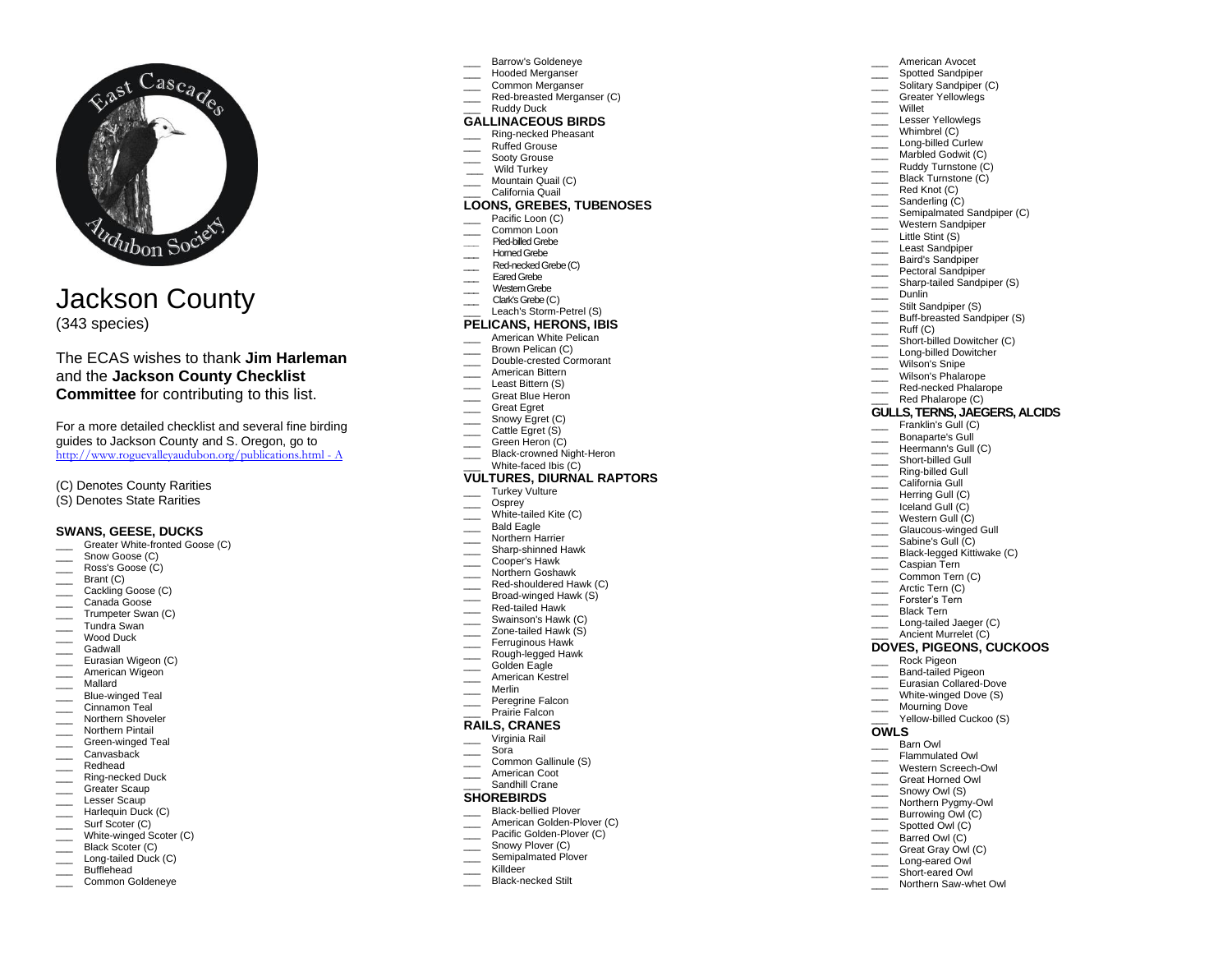

# Jackson County (343 species)

# The ECAS wishes to thank **Jim Harleman** and the **Jackson County Checklist Committee** for contributing to this list.

For a more detailed checklist and several fine birding guides to Jackson County and S. Oregon, go to http://www.roguevalleyaudubon.org/publications.html - A

(C) Denotes County Rarities

(S) Denotes State Rarities

### **SWANS, GEESE, DUCKS**

- Greater White-fronted Goose (C)
- \_\_\_\_ Snow Goose (C)
- \_\_\_ Ross's Goose (C)
- $\qquad \qquad$  Brant (C)
- \_\_\_ Cackling Goose (C)
- Canada Goose
- Trumpeter Swan (C) Tundra Swan
- \_\_\_ Wood Duck
- 
- \_\_\_ Gadwall
- **Eurasian Wigeon (C) American Wigeon**
- \_\_\_ Mallard
- \_\_\_ Blue-winged Teal
- Cinnamon Teal
- **Northern Shoveler**
- \_\_\_ Northern Pintail
- **Example 3** Green-winged Teal  $\equiv$  Canvasback
- \_\_\_ Redhead
- \_\_\_ Ring-necked Duck
- Greater Scaup
- \_\_\_ Lesser Scaup
- \_\_\_ Harlequin Duck (C)
- \_\_\_\_ Surf Scoter (C)
- \_\_\_ White-winged Scoter (C)
- Black Scoter (C)
- Long-tailed Duck (C)
- \_\_\_ Bufflehead
- \_\_\_ Common Goldeneye
- Barrow's Goldeneye
- Hooded Merganser Common Merganser
- Red-breasted Merganser (C)

American Avocet Spotted Sandpiper Solitary Sandpiper (C) Greater Yellowlegs

\_\_\_ Semipalmated Sandpiper (C) \_\_\_ Western Sandpiper \_\_\_ Little Stint (S) Least Sandpiper \_\_\_ Baird's Sandpiper Pectoral Sandpiper Sharp-tailed Sandpiper (S)

Black-legged Kittiwake (C)

\_\_\_ Willet Lesser Yellowlegs Whimbrel (C) Long-billed Curlew Marbled Godwit (C) **Example 2** Ruddy Turnstone (C) **Example 3** Black Turnstone (C) \_\_\_\_ Red Knot (C)  $\equiv$  Sanderling  $(C)$ 

Dunlin Stilt Sandpiper (S) Buff-breasted Sandpiper (S) \_\_\_ Ruff (C) \_\_\_ Short-billed Dowitcher (C) Long-billed Dowitcher

Wilson's Snipe \_\_\_ Wilson's Phalarope Red-necked Phalarope Red Phalarope (C) **GULLS, TERNS, JAEGERS, ALCIDS** Franklin's Gull (C) Bonaparte's Gull Heermann's Gull (C) Short-billed Gull Ring-billed Gull California Gull Herring Gull (C) Liceland Gull (C) Western Gull (C) Glaucous-winged Gull Sabine's Gull (C)

\_\_\_ Caspian Tern \_\_\_ Common Tern (C) Arctic Tern (C) Forster's Tern Black Tern Long-tailed Jaeger (C) Ancient Murrelet (C) **DOVES, PIGEONS, CUCKOOS**

\_\_\_ Rock Pigeon Band-tailed Pigeon Eurasian Collared-Dove White-winged Dove (S)

\_\_\_ Mourning Dove

**OWLS** \_\_\_ Barn Owl

Yellow-billed Cuckoo (S)

Flammulated Owl \_\_\_ Western Screech-Owl \_\_\_ Great Horned Owl Snowy Owl (S) Northern Pygmy-Owl Burrowing Owl (C) Spotted Owl (C) Barred Owl (C) Great Gray Owl (C) Long-eared Owl Short-eared Owl Northern Saw-whet Owl

- Ruddy Duck
- **GALLINACEOUS BIRDS**

# \_\_\_ Ring-necked Pheasant

- Ruffed Grouse
- Sooty Grouse
- Wild Turkey
- Mountain Quail (C)
- California Quail

# **LOONS, GREBES, TUBENOSES**

- Pacific Loon (C)
- Common Loon
- **\_\_\_** Pied-billed Grebe
- Homed Grebe
- Red-necked Grebe (C)
- Eared Grebe
- Western Grebe
- Clark's Grebe (C)
- Leach's Storm-Petrel (S)

# **PELICANS, HERONS, IBIS**

- American White Pelican
- Brown Pelican (C)
- \_\_\_ Double-crested Cormorant
- \_\_\_ American Bittern
- Least Bittern (S)
- \_\_\_ Great Blue Heron
- \_\_\_ Great Egret
- \_\_\_\_\_ Snowy Egret (C) \_\_\_\_ Cattle Egret (S)
- Green Heron (C)
- Black-crowned Night-Heron
- White-faced Ibis (C)

#### **VULTURES, DIURNAL RAPTORS**

- Turkey Vulture
- Osprey
- White-tailed Kite (C)
- Bald Eagle
- Northern Harrier
- \_\_\_ Sharp-shinned Hawk
- Cooper's Hawk
- Northern Goshawk
- Red-shouldered Hawk (C)
- Broad-winged Hawk (S)
- Red-tailed Hawk
- Swainson's Hawk (C)
- Zone-tailed Hawk (S)
- Ferruginous Hawk
- Rough-legged Hawk Golden Eagle
- \_\_\_ American Kestrel
- \_\_\_ Merlin
- Peregrine Falcon
- Prairie Falcon

# **RAILS, CRANES**

- \_\_\_ Virginia Rail
- \_\_\_ Sora
- Common Gallinule (S)
- \_\_\_ American Coot
- Sandhill Crane

# **SHOREBIRDS**

- Black-bellied Plover
- American Golden-Plover (C)
- Pacific Golden-Plover (C)
- Snowy Plover (C)
- Semipalmated Plover \_\_\_ Killdeer Black-necked Stilt